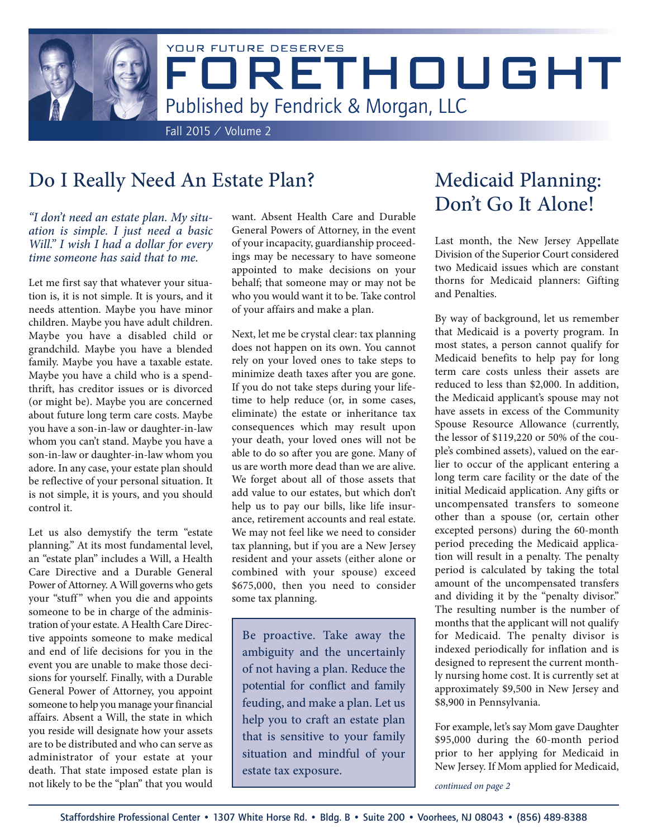

# Do I Really Need An Estate Plan?

*"I don't need an estate plan. My situation is simple. I just need a basic Will." I wish I had a dollar for every time someone has said that to me.*

Let me first say that whatever your situation is, it is not simple. It is yours, and it needs attention. Maybe you have minor children. Maybe you have adult children. Maybe you have a disabled child or grandchild. Maybe you have a blended family. Maybe you have a taxable estate. Maybe you have a child who is a spendthrift, has creditor issues or is divorced (or might be). Maybe you are concerned about future long term care costs. Maybe you have a son-in-law or daughter-in-law whom you can't stand. Maybe you have a son-in-law or daughter-in-law whom you adore. In any case, your estate plan should be reflective of your personal situation. It is not simple, it is yours, and you should control it.

Let us also demystify the term "estate planning." At its most fundamental level, an "estate plan" includes a Will, a Health Care Directive and a Durable General Power of Attorney. A Will governs who gets your "stuff" when you die and appoints someone to be in charge of the administration of your estate. A Health Care Directive appoints someone to make medical and end of life decisions for you in the event you are unable to make those decisions for yourself. Finally, with a Durable General Power of Attorney, you appoint someone to help you manage your financial affairs. Absent a Will, the state in which you reside will designate how your assets are to be distributed and who can serve as administrator of your estate at your death. That state imposed estate plan is not likely to be the "plan" that you would

want. Absent Health Care and Durable General Powers of Attorney, in the event of your incapacity, guardianship proceedings may be necessary to have someone appointed to make decisions on your behalf; that someone may or may not be who you would want it to be. Take control of your affairs and make a plan.

Next, let me be crystal clear: tax planning does not happen on its own. You cannot rely on your loved ones to take steps to minimize death taxes after you are gone. If you do not take steps during your lifetime to help reduce (or, in some cases, eliminate) the estate or inheritance tax consequences which may result upon your death, your loved ones will not be able to do so after you are gone. Many of us are worth more dead than we are alive. We forget about all of those assets that add value to our estates, but which don't help us to pay our bills, like life insurance, retirement accounts and real estate. We may not feel like we need to consider tax planning, but if you are a New Jersey resident and your assets (either alone or combined with your spouse) exceed \$675,000, then you need to consider some tax planning.

Be proactive. Take away the ambiguity and the uncertainly of not having a plan. Reduce the potential for conflict and family feuding, and make a plan. Let us help you to craft an estate plan that is sensitive to your family situation and mindful of your estate tax exposure.

# Medicaid Planning: Don't Go It Alone!

Last month, the New Jersey Appellate Division of the Superior Court considered two Medicaid issues which are constant thorns for Medicaid planners: Gifting and Penalties.

By way of background, let us remember that Medicaid is a poverty program. In most states, a person cannot qualify for Medicaid benefits to help pay for long term care costs unless their assets are reduced to less than \$2,000. In addition, the Medicaid applicant's spouse may not have assets in excess of the Community Spouse Resource Allowance (currently, the lessor of \$119,220 or 50% of the couple's combined assets), valued on the earlier to occur of the applicant entering a long term care facility or the date of the initial Medicaid application. Any gifts or uncompensated transfers to someone other than a spouse (or, certain other excepted persons) during the 60-month period preceding the Medicaid application will result in a penalty. The penalty period is calculated by taking the total amount of the uncompensated transfers and dividing it by the "penalty divisor." The resulting number is the number of months that the applicant will not qualify for Medicaid. The penalty divisor is indexed periodically for inflation and is designed to represent the current monthly nursing home cost. It is currently set at approximately \$9,500 in New Jersey and \$8,900 in Pennsylvania.

For example, let's say Mom gave Daughter \$95,000 during the 60-month period prior to her applying for Medicaid in New Jersey. If Mom applied for Medicaid,

*continued on page 2*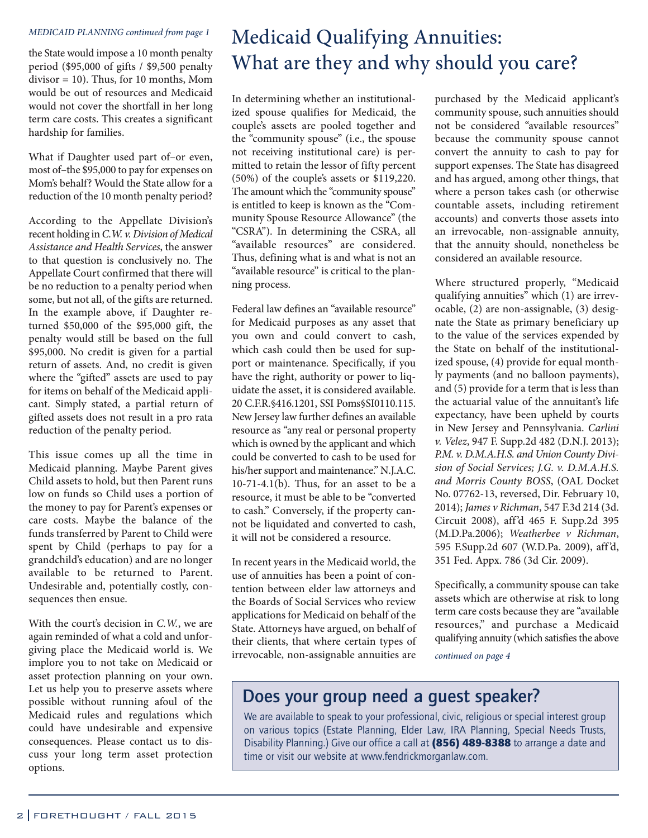#### *MEDICAID PLANNING continued from page 1*

the State would impose a 10 month penalty period (\$95,000 of gifts / \$9,500 penalty divisor = 10). Thus, for 10 months, Mom would be out of resources and Medicaid would not cover the shortfall in her long term care costs. This creates a significant hardship for families.

What if Daughter used part of–or even, most of–the \$95,000 to pay for expenses on Mom's behalf? Would the State allow for a reduction of the 10 month penalty period?

According to the Appellate Division's recent holding in *C.W. v. Division of Medical Assistance and Health Services*, the answer to that question is conclusively no. The Appellate Court confirmed that there will be no reduction to a penalty period when some, but not all, of the gifts are returned. In the example above, if Daughter returned \$50,000 of the \$95,000 gift, the penalty would still be based on the full \$95,000. No credit is given for a partial return of assets. And, no credit is given where the "gifted" assets are used to pay for items on behalf of the Medicaid applicant. Simply stated, a partial return of gifted assets does not result in a pro rata reduction of the penalty period.

This issue comes up all the time in Medicaid planning. Maybe Parent gives Child assets to hold, but then Parent runs low on funds so Child uses a portion of the money to pay for Parent's expenses or care costs. Maybe the balance of the funds transferred by Parent to Child were spent by Child (perhaps to pay for a grandchild's education) and are no longer available to be returned to Parent. Undesirable and, potentially costly, consequences then ensue.

With the court's decision in *C.W.*, we are again reminded of what a cold and unforgiving place the Medicaid world is. We implore you to not take on Medicaid or asset protection planning on your own. Let us help you to preserve assets where possible without running afoul of the Medicaid rules and regulations which could have undesirable and expensive consequences. Please contact us to discuss your long term asset protection options.

# Medicaid Qualifying Annuities: What are they and why should you care?

In determining whether an institutionalized spouse qualifies for Medicaid, the couple's assets are pooled together and the "community spouse" (i.e., the spouse not receiving institutional care) is permitted to retain the lessor of fifty percent (50%) of the couple's assets or \$119,220. The amount which the "community spouse" is entitled to keep is known as the "Community Spouse Resource Allowance" (the "CSRA"). In determining the CSRA, all "available resources" are considered. Thus, defining what is and what is not an "available resource" is critical to the planning process.

Federal law defines an "available resource" for Medicaid purposes as any asset that you own and could convert to cash, which cash could then be used for support or maintenance. Specifically, if you have the right, authority or power to liquidate the asset, it is considered available. 20 C.F.R.§416.1201, SSI Poms§SI0110.115. New Jersey law further defines an available resource as "any real or personal property which is owned by the applicant and which could be converted to cash to be used for his/her support and maintenance." N.J.A.C.  $10-71-4.1(b)$ . Thus, for an asset to be a resource, it must be able to be "converted to cash." Conversely, if the property cannot be liquidated and converted to cash, it will not be considered a resource.

In recent years in the Medicaid world, the use of annuities has been a point of contention between elder law attorneys and the Boards of Social Services who review applications for Medicaid on behalf of the State. Attorneys have argued, on behalf of their clients, that where certain types of irrevocable, non-assignable annuities are

purchased by the Medicaid applicant's community spouse, such annuities should not be considered "available resources" because the community spouse cannot convert the annuity to cash to pay for support expenses. The State has disagreed and has argued, among other things, that where a person takes cash (or otherwise countable assets, including retirement accounts) and converts those assets into an irrevocable, non-assignable annuity, that the annuity should, nonetheless be considered an available resource.

Where structured properly, "Medicaid qualifying annuities" which (1) are irrevocable, (2) are non-assignable, (3) designate the State as primary beneficiary up to the value of the services expended by the State on behalf of the institutionalized spouse, (4) provide for equal monthly payments (and no balloon payments), and (5) provide for a term that is less than the actuarial value of the annuitant's life expectancy, have been upheld by courts in New Jersey and Pennsylvania. *Carlini v. Velez*, 947 F. Supp.2d 482 (D.N.J. 2013); *P.M. v. D.M.A.H.S. and Union County Division of Social Services; J.G. v. D.M.A.H.S. and Morris County BOSS*, (OAL Docket No. 07762-13, reversed, Dir. February 10, 2014); *James v Richman*, 547 F.3d 214 (3d. Circuit 2008), aff 'd 465 F. Supp.2d 395 (M.D.Pa.2006); *Weatherbee v Richman*, 595 F.Supp.2d 607 (W.D.Pa. 2009), aff 'd, 351 Fed. Appx. 786 (3d Cir. 2009).

Specifically, a community spouse can take assets which are otherwise at risk to long term care costs because they are "available resources," and purchase a Medicaid qualifying annuity (which satisfies the above

*continued on page 4*

## Does your group need a guest speaker?

We are available to speak to your professional, civic, religious or special interest group on various topics (Estate Planning, Elder Law, IRA Planning, Special Needs Trusts, Disability Planning.) Give our office a call at (856) 489-8388 to arrange a date and time or visit our website at www.fendrickmorganlaw.com.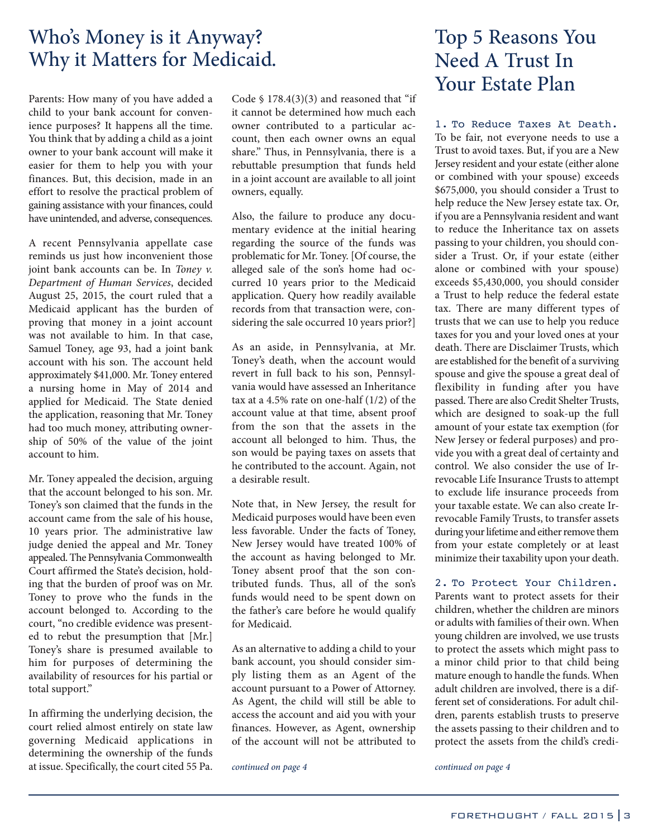## Who's Money is it Anyway? Why it Matters for Medicaid.

Parents: How many of you have added a child to your bank account for convenience purposes? It happens all the time. You think that by adding a child as a joint owner to your bank account will make it easier for them to help you with your finances. But, this decision, made in an effort to resolve the practical problem of gaining assistance with your finances, could have unintended, and adverse, consequences.

A recent Pennsylvania appellate case reminds us just how inconvenient those joint bank accounts can be. In *Toney v. Department of Human Services*, decided August 25, 2015, the court ruled that a Medicaid applicant has the burden of proving that money in a joint account was not available to him. In that case, Samuel Toney, age 93, had a joint bank account with his son. The account held approximately \$41,000. Mr. Toney entered a nursing home in May of 2014 and applied for Medicaid. The State denied the application, reasoning that Mr. Toney had too much money, attributing ownership of 50% of the value of the joint account to him.

Mr. Toney appealed the decision, arguing that the account belonged to his son. Mr. Toney's son claimed that the funds in the account came from the sale of his house, 10 years prior. The administrative law judge denied the appeal and Mr. Toney appealed. The Pennsylvania Commonwealth Court affirmed the State's decision, holding that the burden of proof was on Mr. Toney to prove who the funds in the account belonged to. According to the court, "no credible evidence was presented to rebut the presumption that [Mr.] Toney's share is presumed available to him for purposes of determining the availability of resources for his partial or total support."

In affirming the underlying decision, the court relied almost entirely on state law governing Medicaid applications in determining the ownership of the funds at issue. Specifically, the court cited 55 Pa.

Code  $$ 178.4(3)(3)$  and reasoned that "if it cannot be determined how much each owner contributed to a particular account, then each owner owns an equal share." Thus, in Pennsylvania, there is a rebuttable presumption that funds held in a joint account are available to all joint owners, equally.

Also, the failure to produce any documentary evidence at the initial hearing regarding the source of the funds was problematic for Mr. Toney. [Of course, the alleged sale of the son's home had occurred 10 years prior to the Medicaid application. Query how readily available records from that transaction were, considering the sale occurred 10 years prior?]

As an aside, in Pennsylvania, at Mr. Toney's death, when the account would revert in full back to his son, Pennsylvania would have assessed an Inheritance tax at a 4.5% rate on one-half (1/2) of the account value at that time, absent proof from the son that the assets in the account all belonged to him. Thus, the son would be paying taxes on assets that he contributed to the account. Again, not a desirable result.

Note that, in New Jersey, the result for Medicaid purposes would have been even less favorable. Under the facts of Toney, New Jersey would have treated 100% of the account as having belonged to Mr. Toney absent proof that the son contributed funds. Thus, all of the son's funds would need to be spent down on the father's care before he would qualify for Medicaid.

As an alternative to adding a child to your bank account, you should consider simply listing them as an Agent of the account pursuant to a Power of Attorney. As Agent, the child will still be able to access the account and aid you with your finances. However, as Agent, ownership of the account will not be attributed to

*continued on page 4 continued on page 4*

# Top 5 Reasons You Need A Trust In Your Estate Plan

1. To Reduce Taxes At Death. To be fair, not everyone needs to use a Trust to avoid taxes. But, if you are a New Jersey resident and your estate (either alone or combined with your spouse) exceeds \$675,000, you should consider a Trust to help reduce the New Jersey estate tax. Or, if you are a Pennsylvania resident and want to reduce the Inheritance tax on assets passing to your children, you should consider a Trust. Or, if your estate (either alone or combined with your spouse) exceeds \$5,430,000, you should consider a Trust to help reduce the federal estate tax. There are many different types of trusts that we can use to help you reduce taxes for you and your loved ones at your death. There are Disclaimer Trusts, which are established for the benefit of a surviving spouse and give the spouse a great deal of flexibility in funding after you have passed. There are also Credit Shelter Trusts, which are designed to soak-up the full amount of your estate tax exemption (for New Jersey or federal purposes) and provide you with a great deal of certainty and control. We also consider the use of Irrevocable Life Insurance Trusts to attempt to exclude life insurance proceeds from your taxable estate. We can also create Irrevocable Family Trusts, to transfer assets during your lifetime and either remove them from your estate completely or at least minimize their taxability upon your death.

#### 2. To Protect Your Children.

Parents want to protect assets for their children, whether the children are minors or adults with families of their own. When young children are involved, we use trusts to protect the assets which might pass to a minor child prior to that child being mature enough to handle the funds. When adult children are involved, there is a different set of considerations. For adult children, parents establish trusts to preserve the assets passing to their children and to protect the assets from the child's credi-